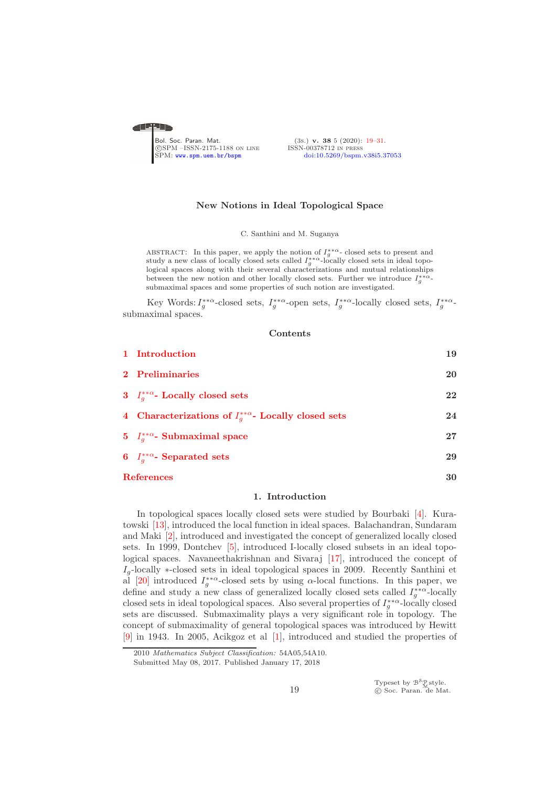<span id="page-0-0"></span>

### New Notions in Ideal Topological Space

C. Santhini and M. Suganya

ABSTRACT: In this paper, we apply the notion of  $I_g^{**\alpha}$ - closed sets to present and study a new class of locally closed sets called  $I_g^{**\alpha}$ -locally closed sets in ideal topological spaces along with their several characterizations and mutual relationships between the new notion and other locally closed sets. Further we introduce  $I_g^{**\alpha}$ submaximal spaces and some properties of such notion are investigated.

Key Words:  $I_g^{**\alpha}$ -closed sets,  $I_g^{**\alpha}$ -open sets,  $I_g^{**\alpha}$ -locally closed sets,  $I_g^{**\alpha}$ submaximal spaces.

### Contents

|                   | 1 Introduction                                                | 19 |
|-------------------|---------------------------------------------------------------|----|
|                   | 2 Preliminaries                                               | 20 |
|                   | 3 $I_a^{**\alpha}$ - Locally closed sets                      | 22 |
|                   | 4 Characterizations of $I_a^{**\alpha}$ - Locally closed sets | 24 |
|                   | 5 $I_q^{**\alpha}$ - Submaximal space                         | 27 |
|                   | 6 $I_q^{**\alpha}$ - Separated sets                           | 29 |
| <b>References</b> |                                                               | 30 |

# 1. Introduction

<span id="page-0-1"></span>In topological spaces locally closed sets were studied by Bourbaki [\[4\]](#page-11-2). Kuratowski [\[13\]](#page-12-0), introduced the local function in ideal spaces. Balachandran, Sundaram and Maki [\[2\]](#page-11-3), introduced and investigated the concept of generalized locally closed sets. In 1999, Dontchev [\[5\]](#page-11-4), introduced I-locally closed subsets in an ideal topological spaces. Navaneethakrishnan and Sivaraj [\[17\]](#page-12-1), introduced the concept of  $I_q$ -locally ∗-closed sets in ideal topological spaces in 2009. Recently Santhini et al [\[20\]](#page-12-2) introduced  $I_g^{**\alpha}$ -closed sets by using  $\alpha$ -local functions. In this paper, we define and study a new class of generalized locally closed sets called  $I_g^{**\alpha}$ -locally closed sets in ideal topological spaces. Also several properties of  $I_g^{**\alpha}$ -locally closed sets are discussed. Submaximality plays a very significant role in topology. The concept of submaximality of general topological spaces was introduced by Hewitt [\[9\]](#page-12-3) in 1943. In 2005, Acikgoz et al [\[1\]](#page-11-5), introduced and studied the properties of

Typeset by  $\mathcal{B}^{\mathcal{S}}_{\mathcal{M}}$ style.<br>© Soc. Paran. de Mat.

<sup>2010</sup> *Mathematics Subject Classification:* 54A05,54A10.

Submitted May 08, 2017. Published January 17, 2018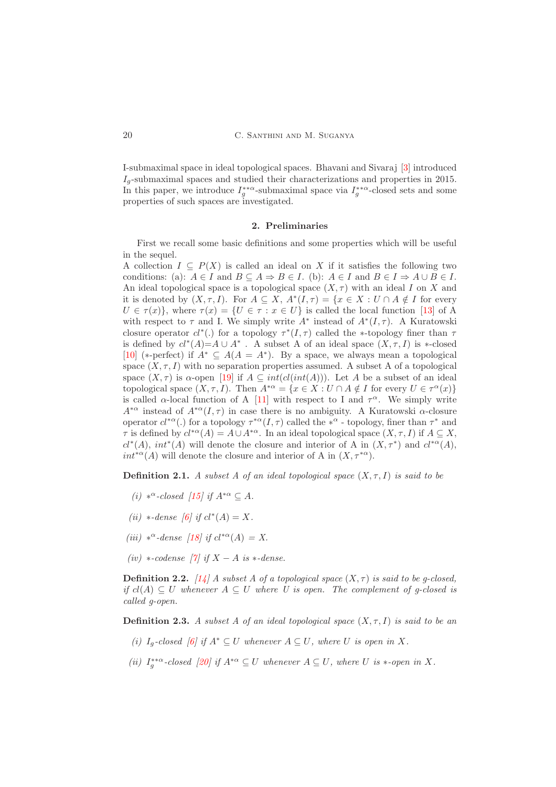I-submaximal space in ideal topological spaces. Bhavani and Sivaraj [\[3\]](#page-11-6) introduced  $I_q$ -submaximal spaces and studied their characterizations and properties in 2015. In this paper, we introduce  $I_g^{**\alpha}$ -submaximal space via  $I_g^{**\alpha}$ -closed sets and some properties of such spaces are investigated.

### 2. Preliminaries

<span id="page-1-0"></span>First we recall some basic definitions and some properties which will be useful in the sequel.

A collection  $I \subseteq P(X)$  is called an ideal on X if it satisfies the following two conditions: (a):  $A \in I$  and  $B \subseteq A \Rightarrow B \in I$ . (b):  $A \in I$  and  $B \in I \Rightarrow A \cup B \in I$ . An ideal topological space is a topological space  $(X, \tau)$  with an ideal I on X and it is denoted by  $(X, \tau, I)$ . For  $A \subseteq X$ ,  $A^*(I, \tau) = \{x \in X : U \cap A \notin I \text{ for every } I \in I\}$  $U \in \tau(x)$ , where  $\tau(x) = \{U \in \tau : x \in U\}$  is called the local function [\[13\]](#page-12-0) of A with respect to  $\tau$  and I. We simply write  $A^*$  instead of  $A^*(I,\tau)$ . A Kuratowski closure operator  $cl^*(.)$  for a topology  $\tau^*(I,\tau)$  called the ∗-topology finer than  $\tau$ is defined by  $cl^*(A)=A\cup A^*$ . A subset A of an ideal space  $(X, \tau, I)$  is \*-closed [\[10\]](#page-12-4) (\*-perfect) if  $A^* \subseteq A(A = A^*)$ . By a space, we always mean a topological space  $(X, \tau, I)$  with no separation properties assumed. A subset A of a topological space  $(X, \tau)$  is  $\alpha$ -open [\[19\]](#page-12-5) if  $A \subseteq int(cl(int(A)))$ . Let A be a subset of an ideal topological space  $(X, \tau, I)$ . Then  $A^{*\alpha} = \{x \in X : U \cap A \notin I \text{ for every } U \in \tau^{\alpha}(x)\}\$ is called  $\alpha$ -local function of A [\[11\]](#page-12-6) with respect to I and  $\tau^{\alpha}$ . We simply write  $A^{*\alpha}$  instead of  $A^{*\alpha}(I,\tau)$  in case there is no ambiguity. A Kuratowski  $\alpha$ -closure operator  $cl^{*\alpha}$ . for a topology  $\tau^{*\alpha}(I,\tau)$  called the  $*^{\alpha}$  - topology, finer than  $\tau^*$  and  $\tau$  is defined by  $cl^{*\alpha}(A) = A \cup A^{*\alpha}$ . In an ideal topological space  $(X, \tau, I)$  if  $A \subseteq X$ ,  $cl^*(A)$ ,  $int^*(A)$  will denote the closure and interior of A in  $(X, \tau^*)$  and  $cl^{*\alpha}(A)$ ,  $int^{*\alpha}(A)$  will denote the closure and interior of A in  $(X, \tau^{*\alpha})$ .

**Definition 2.1.** *A subset A of an ideal topological space*  $(X, \tau, I)$  *is said to be* 

- *(i)* ∗<sup>α</sup>-closed [\[15\]](#page-12-7) if  $A^{*\alpha} \subseteq A$ .
- $(ii) *-dense [6] if cl^*(A) = X.$  $(ii) *-dense [6] if cl^*(A) = X.$  $(ii) *-dense [6] if cl^*(A) = X.$
- *(iii)*  $*^{\alpha}$ -dense [\[18\]](#page-12-8) *if*  $cl^{*\alpha}(A) = X$ .
- *(iv)* ∗*-codense [\[7\]](#page-11-8) if* X − A *is* ∗*-dense.*

**Definition 2.2.** *[\[14\]](#page-12-9) A subset A of a topological space*  $(X, \tau)$  *is said to be g-closed, if*  $cl(A) ⊂ U$  *whenever*  $A ⊂ U$  *where*  $U$  *is open. The complement of q-closed is called g-open.*

**Definition 2.3.** A subset A of an ideal topological space  $(X, \tau, I)$  is said to be an

- *(i)*  $I_q$ -closed [\[6\]](#page-11-7) if  $A^* ⊂ U$  whenever  $A ⊂ U$ , where  $U$  is open in X.
- *(ii)*  $I_g^{**\alpha}$ -closed [\[20\]](#page-12-2) if  $A^{*\alpha} \subseteq U$  whenever  $A \subseteq U$ , where U is  $*$ -open in X.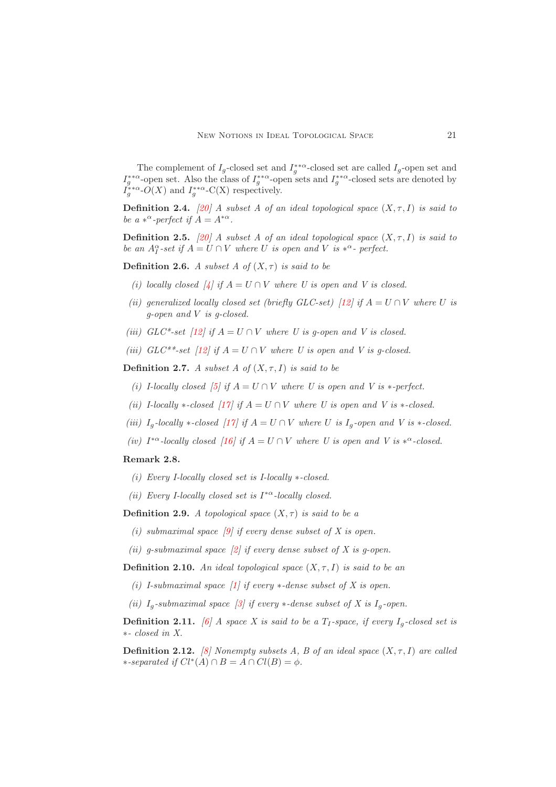The complement of  $I_g$ -closed set and  $I_g^{**\alpha}$ -closed set are called  $I_g$ -open set and  $I_g^{**\alpha}$ -open set. Also the class of  $I_g^{**\alpha}$ -open sets and  $I_g^{**\alpha}$ -closed sets are denoted by  $I_g^{**\alpha}$ - $O(X)$  and  $I_g^{**\alpha}$ -C(X) respectively.

**Definition 2.4.** [\[20\]](#page-12-2) *A subset A of an ideal topological space*  $(X, \tau, I)$  *is said to be a*  $*^{\alpha}$ -perfect if  $A = A^{*\alpha}$ .

**Definition 2.5.** [\[20\]](#page-12-2) *A subset A of an ideal topological space*  $(X, \tau, I)$  *is said to be an*  $A_I^{\alpha}$ -set if  $A = U \cap V$  where U is open and V is  $*^{\alpha}$ - perfect.

**Definition 2.6.** *A subset A of*  $(X, \tau)$  *is said to be* 

- *(i) locally closed* [ $4$ ] *if*  $A = U \cap V$  *where U is open and V is closed.*
- *(ii) generalized locally closed set (briefly GLC-set) [12] if*  $A = U \cap V$  *where U is g-open and* V *is g-closed.*
- *(iii)*  $GLC^*$ -set [\[12\]](#page-12-10)<sup> *if*</sup>  $A = U \cap V$  *where U is g-open and V is closed.*
- *(iii)*  $GLC^{**}$ -set [\[12\]](#page-12-10) if  $A = U \cap V$  where U is open and V is q-closed.

**Definition 2.7.** *A subset A of*  $(X, \tau, I)$  *is said to be* 

- *(i) I-locally closed* [\[5\]](#page-11-4) if  $A = U \cap V$  where U is open and V is \*-perfect.
- *(ii) I-locally* \*-*closed*  $\left[17\right]$  *if*  $A = U \cap V$  *where U is open and V is* \*-*closed.*
- *(iii)*  $I_q$ -locally  $*$ -closed [\[17\]](#page-12-1) if  $A = U \cap V$  where U is  $I_q$ -open and V is  $*$ -closed.
- *(iv)*  $I^{*\alpha}$ -locally closed [\[16\]](#page-12-11) if  $A = U \cap V$  where U is open and V is  $*^{\alpha}$ -closed.

## <span id="page-2-0"></span>Remark 2.8.

- *(i) Every I-locally closed set is I-locally* ∗*-closed.*
- *(ii) Every I-locally closed set is* I <sup>∗</sup><sup>α</sup>*-locally closed.*

**Definition 2.9.** *A topological space*  $(X, \tau)$  *is said to be a* 

- *(i) submaximal space [\[9\]](#page-12-3) if every dense subset of X is open.*
- *(ii) g-submaximal space [\[2\]](#page-11-3) if every dense subset of X is g-open.*

**Definition 2.10.** An ideal topological space  $(X, \tau, I)$  is said to be an

- *(i) I-submaximal space [\[1\]](#page-11-5) if every* ∗*-dense subset of X is open.*
- *(ii)*  $I_q$ -submaximal space [\[3\]](#page-11-6) if every  $*$ -dense subset of X is  $I_q$ -open.

**Definition 2.11.** *[\[6\]](#page-11-7) A space X is said to be a T<sub>I</sub>-space, if every*  $I_q$ -closed set is ∗*- closed in X.*

**Definition 2.12.** *[\[8\]](#page-12-12) Nonempty subsets A, B of an ideal space*  $(X, \tau, I)$  *are called*  $\ast$ -separated if  $Cl^*(A) \cap B = A \cap Cl(B) = \phi$ .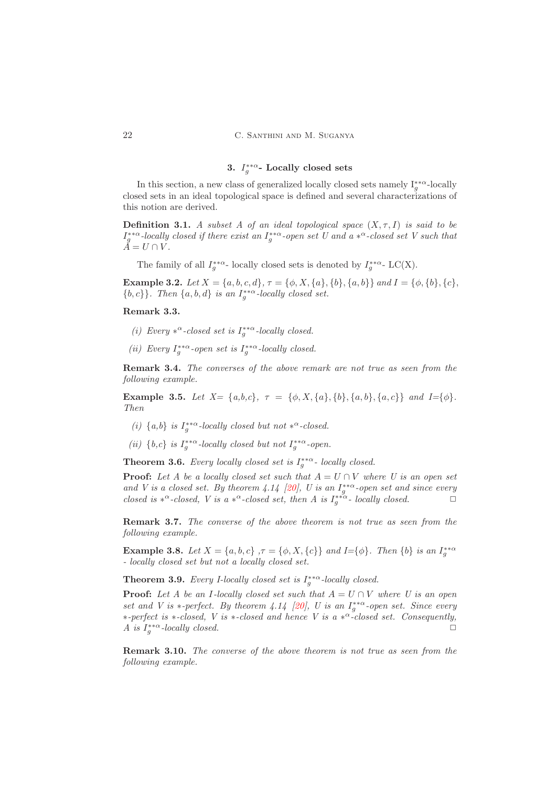# 3.  $I_g^{**\alpha}$ - Locally closed sets

<span id="page-3-0"></span>In this section, a new class of generalized locally closed sets namely  $I_g^{**\alpha}$ -locally closed sets in an ideal topological space is defined and several characterizations of this notion are derived.

**Definition 3.1.** *A subset A of an ideal topological space*  $(X, \tau, I)$  *is said to be*  $I_g^{**\alpha}$ -locally closed if there exist an  $I_g^{**\alpha}$ -open set U and a  $*^{\alpha}$ -closed set V such that  $\check{A} = U \cap V$ .

The family of all  $I_g^{**\alpha}$ - locally closed sets is denoted by  $I_g^{**\alpha}$ - LC(X).

**Example 3.2.** *Let*  $X = \{a, b, c, d\}$ ,  $\tau = \{\phi, X, \{a\}, \{b\}, \{a, b\}\}$  *and*  $I = \{\phi, \{b\}, \{c\}$ ,  ${b, c}$ *. Then*  ${a, b, d}$  *is an*  $I_g^{**\alpha}$ -locally closed set.

# Remark 3.3.

- (*i*) Every  $*^{\alpha}$ -closed set is  $I_g^{**\alpha}$ -locally closed.
- (*ii*) Every  $I_g^{**\alpha}$ -open set is  $I_g^{**\alpha}$ -locally closed.

Remark 3.4. *The converses of the above remark are not true as seen from the following example.*

Example 3.5. *Let*  $X = \{a,b,c\}$ ,  $\tau = \{\phi, X, \{a\}, \{b\}, \{a,b\}, \{a,c\}\}\$  and  $I = \{\phi\}$ . *Then*

- (*i*)  $\{a,b\}$  *is*  $I_g^{**\alpha}$ -locally closed but not  $*^{\alpha}$ -closed.
- (*ii*)  $\{b,c\}$  *is*  $I_g^{**\alpha}$ -locally closed but not  $I_g^{**\alpha}$ -open.

**Theorem 3.6.** *Every locally closed set is*  $I_g^{**\alpha}$ - *locally closed.* 

**Proof:** Let A be a locally closed set such that  $A = U \cap V$  where U is an open set and V is a closed set. By theorem  $4.14$  [\[20\]](#page-12-2), U is an  $I_g^{**\alpha}$ -open set and since every *closed is*  $*^{\alpha}$ *-closed, V is a*  $*^{\alpha}$ *-closed set, then A is*  $I_g^{**\alpha}$ *- locally closed.* 

Remark 3.7. *The converse of the above theorem is not true as seen from the following example.*

**Example 3.8.** *Let*  $X = \{a, b, c\}$ ,  $\tau = \{\phi, X, \{c\}\}\$ and *I*={ $\phi$ }. *Then*  $\{b\}$  *is an*  $I_g^{**\alpha}$ *- locally closed set but not a locally closed set.*

**Theorem 3.9.** *Every I-locally closed set is*  $I_g^{**\alpha}$ -locally closed.

**Proof:** Let A be an I-locally closed set such that  $A = U \cap V$  where U is an open *set and V is*  $*$ -perfect. By theorem 4.14 [\[20\]](#page-12-2), U is an  $I_g^{**}$ -open set. Since every ∗*-perfect is* ∗*-closed, V is* ∗*-closed and hence V is a* ∗ <sup>α</sup>*-closed set. Consequently, A* is  $I_g^{**\alpha}$ -locally closed.

Remark 3.10. *The converse of the above theorem is not true as seen from the following example.*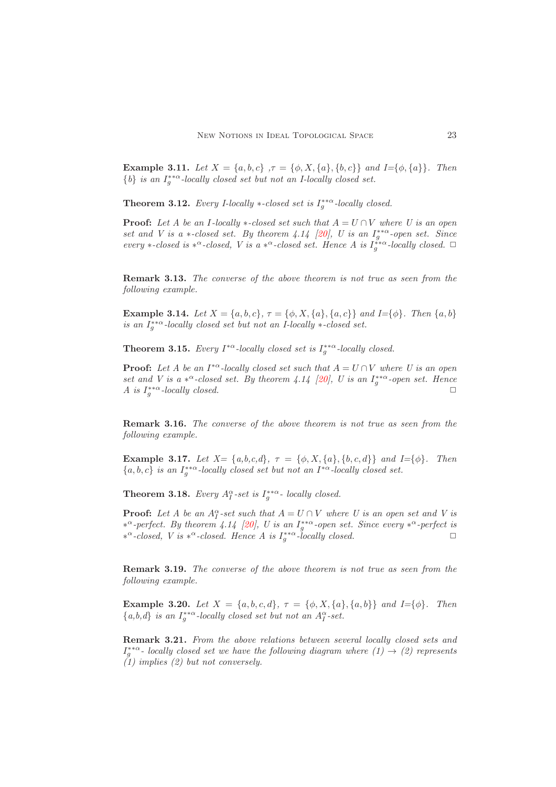Example 3.11. *Let*  $X = \{a, b, c\}$ ,  $\tau = \{\phi, X, \{a\}, \{b, c\}\}\$  *and*  $I = \{\phi, \{a\}\}\$ . *Then*  ${b}$  *is an*  $I_g^{**\alpha}$ -locally closed set but not an I-locally closed set.

**Theorem 3.12.** *Every I-locally*  $\ast$ -closed set is  $I_g^{** \alpha}$ -locally closed.

**Proof:** Let A be an I-locally  $*$ -closed set such that  $A = U \cap V$  where U is an open *set and V is a*  $*$ -closed set. By theorem 4.14 [\[20\]](#page-12-2), U is an  $I_g^{**\alpha}$ -open set. Since *every*  $*$ -closed is  $*^{\alpha}$ -closed, V is a  $*^{\alpha}$ -closed set. Hence A is  $I_g^{**\alpha}$ -locally closed.  $\Box$ 

Remark 3.13. *The converse of the above theorem is not true as seen from the following example.*

**Example 3.14.** *Let*  $X = \{a, b, c\}$ ,  $\tau = \{\phi, X, \{a\}, \{a, c\}\}$  *and*  $I = \{\phi\}$ *. Then*  $\{a, b\}$ *is an*  $I_g^{**\alpha}$ -locally closed set but not an I-locally  $*$ -closed set.

**Theorem 3.15.** *Every*  $I^{*\alpha}$ -locally closed set is  $I_g^{**\alpha}$ -locally closed.

**Proof:** Let A be an  $I^{*\alpha}$ -locally closed set such that  $A = U \cap V$  where U is an open *set and V is a*  $*^{\alpha}$ -closed set. By theorem 4.14 [\[20\]](#page-12-2), U is an  $I_g^{**\alpha}$ -open set. Hence *A* is  $I_g^{**\alpha}$ -locally closed.

Remark 3.16. *The converse of the above theorem is not true as seen from the following example.*

Example 3.17. Let  $X = \{a, b, c, d\}$ ,  $\tau = \{\phi, X, \{a\}, \{b, c, d\}\}$  and  $I = \{\phi\}$ . Then  ${a, b, c}$  *is an*  $I_g^{**\alpha}$ -locally closed set but not an  $I^{*\alpha}$ -locally closed set.

**Theorem 3.18.** *Every*  $A_I^{\alpha}$ -set is  $I_g^{**\alpha}$ - locally closed.

**Proof:** Let A be an  $A_I^{\alpha}$ -set such that  $A = U \cap V$  where U is an open set and V is ∗ <sup>α</sup>*-perfect. By theorem 4.14 [\[20\]](#page-12-2), U is an* I ∗∗α g *-open set. Since every* ∗ <sup>α</sup>*-perfect is*  $*^{\alpha}$ -closed, *V* is  $*^{\alpha}$ -closed. Hence *A* is  $I_g^{**\alpha}$ -locally closed.

Remark 3.19. *The converse of the above theorem is not true as seen from the following example.*

Example 3.20. *Let*  $X = \{a, b, c, d\}, \tau = \{\phi, X, \{a\}, \{a, b\}\}$  *and*  $I = \{\phi\}.$  *Then*  ${a,b,d}$  *is an*  $I_g^{**}$ -locally closed set but not an  $A_I^{\alpha}$ -set.

Remark 3.21. *From the above relations between several locally closed sets and*  $I_g^{**\alpha}$ - locally closed set we have the following diagram where  $(1) \rightarrow (2)$  represents *(1) implies (2) but not conversely.*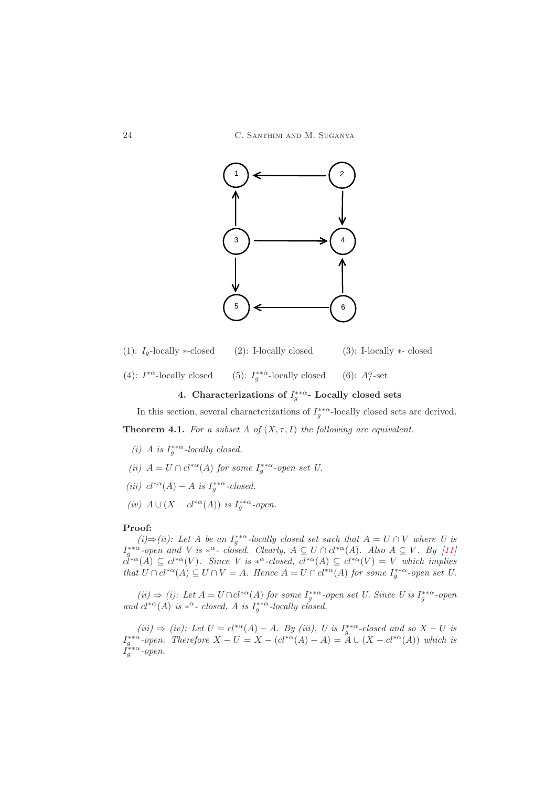

- (1):  $I_q$ -locally ∗-closed (2): I-locally closed (3): I-locally ∗- closed
- <span id="page-5-0"></span>(4):  $I^{*\alpha}$ -locally closed (5):  $I$ <sup>\*\*</sup><sup>α</sup>-locally closed (6):  $A_I^{\alpha}$  $I$ -set

# 4. Characterizations of  $I_g^{**\alpha}$ - Locally closed sets

In this section, several characterizations of  $I_g^{**\alpha}$ -locally closed sets are derived. **Theorem 4.1.** For a subset A of  $(X, \tau, I)$  the following are equivalent.

- <span id="page-5-1"></span>(*i*) *A* is  $I_g^{**\alpha}$ -locally closed.
- (*ii*)  $A = U \cap cl^{*\alpha}(A)$  *for some*  $I_g^{**\alpha}$ -open set U.
- (*iii*)  $cl^{\ast\alpha}(A) A$  *is*  $I_g^{\ast\ast\alpha}$ -closed.
- (*iv*)  $A \cup (X cl^{*\alpha}(A))$  *is*  $I_g^{**\alpha}$ -open.

# Proof:

 $(i) \Rightarrow (ii)$ : Let A be an  $I_g^{**}$ -locally closed set such that  $A = U ∩ V$  where U is  $I_g^{**\alpha}$ -open and V is  $*^{\alpha}$ - closed. Clearly,  $A \subseteq U \cap cl^{*\alpha}(A)$ . Also  $A \subseteq V$ . By [\[11\]](#page-12-6)  $c^{\dagger * \alpha}(A) \subseteq cl^{*\alpha}(V)$ *. Since* V is  $*^{\alpha}$ -closed,  $cl^{*\alpha}(A) \subseteq cl^{*\alpha}(V) = V$  which implies *that*  $U \cap cl^{*\alpha}(A) \subseteq U \cap V = A$ . Hence  $A = U \cap cl^{*\alpha}(A)$  for some  $I_g^{**\alpha}$ -open set U.

 $(ii)$  ⇒ (*i*): Let  $A = U ∩ cl^{*α}(A)$  for some  $I_g^{**α}$ -open set U. Since U is  $I_g^{**α}$ -open and  $cl^{*\alpha}(A)$  *is*  $*^{\alpha}$ - *closed, A is*  $I_g^{**\alpha}$ -*locally closed.* 

 $(iii) \Rightarrow (iv)$ : Let  $U = cl^{*\alpha}(A) - A$ *. By (iii), U is*  $I_g^{**\alpha}$ -closed and so  $X - U$  is  $I_g^{**\alpha}$ -open. Therefore  $X - U = X - (cl^{*\alpha}(A) - A) = A \cup (X - cl^{*\alpha}(A))$  which is  $I_g^{**\alpha}$ -open.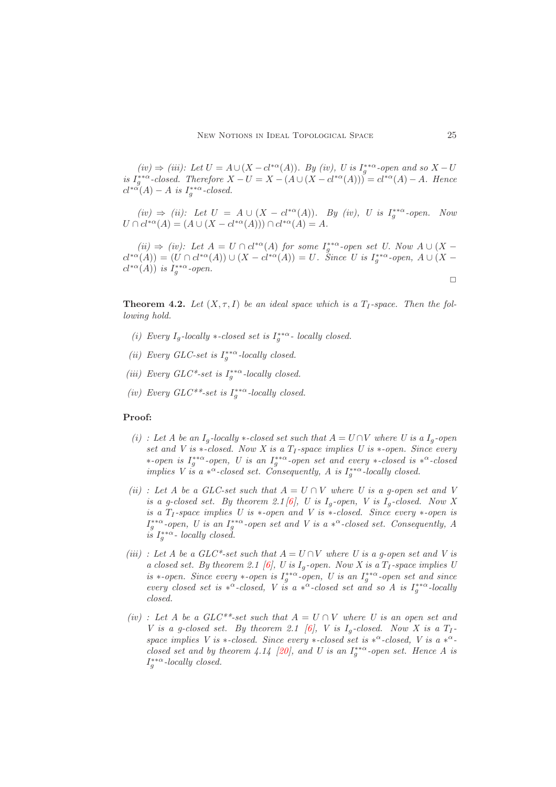$(iv)$   $\Rightarrow$   $(iii)$ : Let  $U = A ∪ (X - cl^{*α}(A))$ . By  $(iv)$ , U is  $I_g^{**α}$ -open and so  $X - U$ *is*  $I_g^{**\alpha}$ -closed. Therefore  $X - U = X - (A \cup (X - cl^{*\alpha}(A))) = cl^{*\alpha}(A) - A$ . Hence  $cl^{* \alpha}(A) - A$  is  $I_g^{**\alpha}$ -closed.

 $(iv) \Rightarrow (ii)$ : Let  $U = A \cup (X - cl^{*\alpha}(A))$ . By (iv), U is  $I_g^{**\alpha}$ -open. Now  $U \cap cl^{*\alpha}(A) = (A \cup (X - cl^{*\alpha}(A))) \cap cl^{*\alpha}(A) = A.$ 

 $(ii) \Rightarrow (iv):$  Let  $A = U \cap cl^{*\alpha}(A)$  for some  $I_g^{**\alpha}$ -open set U. Now  $A \cup (X$  $cl^{*\alpha}(A)) = (U \cap cl^{*\alpha}(A)) \cup (X - cl^{*\alpha}(A)) = U$ . Since U is  $I_g^{**\alpha}$ -open,  $A \cup (X - cl^{*\alpha}(A))$  $cl^{*\alpha}(A)$ ) *is*  $I_g^{**\alpha}$ -open.

**Theorem 4.2.** Let  $(X, \tau, I)$  be an ideal space which is a  $T_I$ -space. Then the fol*lowing hold.*

- (*i*) Every  $I_g$ -locally  $\ast$ -closed set is  $I_g^{**\alpha}$  locally closed.
- (*ii*) Every GLC-set is  $I_g^{**\alpha}$ -locally closed.
- (*iii*) Every GLC<sup>\*</sup>-set is  $I_g^{**\alpha}$ -locally closed.
- (*iv*) Every  $GLC^{**}$ -set is  $I_g^{**\alpha}$ -locally closed.

# Proof:

- $(i)$ : Let A be an  $I_q$ -locally  $*$ -closed set such that  $A = U \cap V$  where U is a  $I_q$ -open *set and V is* ∗*-closed. Now X is a T<sub>I</sub>-space implies U is* ∗*-open. Since every* ∗*-open is* I ∗∗α g *-open, U is an* I ∗∗α g *-open set and every* ∗*-closed is* ∗ <sup>α</sup>*-closed implies V is a*  $*^{\alpha}$ -closed set. Consequently, A is  $I_g^{**\alpha}$ -locally closed.
- *(ii)* : Let A be a GLC-set such that  $A = U \cap V$  where U is a g-open set and V *is a g-closed set. By theorem 2.1* [\[6\]](#page-11-7), *U is*  $I_g$ -open, *V is*  $I_g$ -closed. Now *X is a* T<sup>I</sup> *-space implies U is* ∗*-open and V is* ∗*-closed. Since every* ∗*-open is*  $I_g^{**\alpha}$ -open, *U* is an  $I_g^{**\alpha}$ -open set and *V* is a  $*^{\alpha}$ -closed set. Consequently, A  $i\tilde{s}$   $I_{g}^{**\alpha}$ - locally closed.
- *(iii) : Let A be a GLC\*-set such that*  $A = U \cap V$  *where U is a g-open set and V is a closed set. By theorem 2.1* [\[6\]](#page-11-7), *U* is  $I_q$ -open. Now *X* is a  $T_I$ -space implies *U is* ∗*-open.* Since every ∗*-open is*  $I_g^{**\alpha}$ *-open,* U is an  $I_g^{**\alpha}$ *-open set and since every closed set is*  $*^{\alpha}$ -*closed, V is a*  $*^{\alpha}$ -*closed set and so A is*  $I_g^{**\alpha}$ -*locally closed.*
- $(iv)$ : Let A be a GLC<sup>\*\*</sup>-set such that  $A = U \cap V$  where U is an open set and *V* is a g-closed set. By theorem 2.1 [\[6\]](#page-11-7), *V* is  $I_q$ -closed. Now *X* is a  $T_1$ space implies V is \*-closed. Since every \*-closed set is \*<sup> $\alpha$ </sup>-closed, V is a \*<sup> $\alpha$ </sup>-*closed set and by theorem 4.14 [\[20\]](#page-12-2), and U is an*  $I_g^{**\alpha}$ -open set. Hence A is  $I_g^{**\alpha}$ -locally closed.

 $\Box$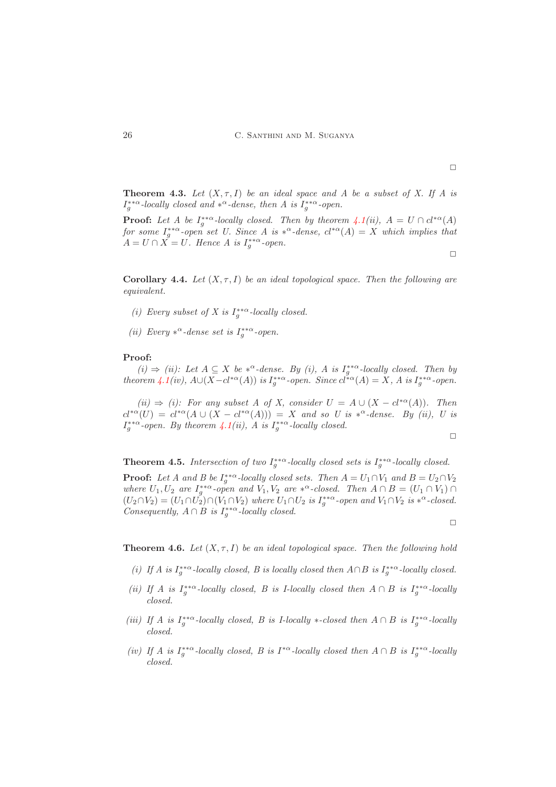**Theorem 4.3.** Let  $(X, \tau, I)$  be an ideal space and A be a subset of X. If A is  $I_g^{**\alpha}$ -locally closed and  $*^{\alpha}$ -dense, then A is  $I_g^{**\alpha}$ -open.

**Proof:** Let A be  $I_g^{**a}$ -locally closed. Then by theorem  $\angle{A}(ii)$ ,  $A = U \cap cl^{*\alpha}(A)$ for some  $I_g^{**\alpha}$ -open set U. Since A is  $*^{\alpha}$ -dense,  $cl^{*\alpha}(A) = X$  which implies that  $A = U \cap \overline{X} = U$ . Hence A is  $I_g^{**\alpha}$ -open.

 $\Box$ 

<span id="page-7-0"></span>Corollary 4.4. Let  $(X, \tau, I)$  be an ideal topological space. Then the following are *equivalent.*

- (*i*) Every subset of X is  $I_g^{**\alpha}$ -locally closed.
- (*ii*) Every  $*^{\alpha}$ -dense set is  $I_g^{**\alpha}$ -open.

# Proof:

 $(i)$   $\Rightarrow$  *(ii):* Let  $A ⊆ X$  be  $*^{\alpha}$ -dense. By *(i),*  $A$  is  $I_g^{**\alpha}$ -locally closed. Then by *theorem*  $\cancel{4.1(iv)}$  $\cancel{4.1(iv)}$  $\cancel{4.1(iv)}$ ,  $A\cup (X-cl^{*\alpha}(A))$  *is*  $I_g^{**\alpha}$ -open. Since  $cl^{*\alpha}(A) = X$ , A is  $I_g^{**\alpha}$ -open.

 $(ii) \Rightarrow (i)$ : For any subset A of X, consider  $U = A \cup (X - cl^{*\alpha}(A))$ . Then  $cl^{*\alpha}(U) = cl^{*\alpha}(A \cup (X - cl^{*\alpha}(A))) = X$  and so U is  $*^{\alpha}$ -dense. By (ii), U is  $I_g^{**\alpha}$ -open. By theorem  $\angle A(ii)$ , A is  $I_g^{**\alpha}$ -locally closed.

$$
\Box
$$

**Theorem 4.5.** Intersection of two  $I_g^{**\alpha}$ -locally closed sets is  $I_g^{**\alpha}$ -locally closed. **Proof:** Let A and B be  $I_g^{**\alpha}$ -locally closed sets. Then  $A = U_1 \cap V_1$  and  $B = U_2 \cap V_2$ *where*  $U_1, U_2$  *are*  $I_g^{**}$ -*open and*  $V_1, V_2$  *are*  $*^{\alpha}$ -*closed. Then*  $A \cap B = (U_1 \cap V_1) \cap$  $(U_2 \cap V_2) = (U_1 \cap U_2) \cap (V_1 \cap V_2)$  where  $U_1 \cap U_2$  *is*  $I_g^{**\alpha}$ -open and  $V_1 \cap V_2$  *is*  $*^{\alpha}$ -closed. *Consequently,*  $A \cap B$  *is*  $I_g^{**\alpha}$ -locally closed.

 $\Box$ 

**Theorem 4.6.** Let  $(X, \tau, I)$  be an ideal topological space. Then the following hold

- (*i)* If A is  $I_g^{**\alpha}$ -locally closed, B is locally closed then  $A \cap B$  is  $I_g^{**\alpha}$ -locally closed.
- (*ii*) If A is  $I_g^{**\alpha}$ -locally closed, B is I-locally closed then  $A \cap B$  is  $I_g^{**\alpha}$ -locally *closed.*
- (*iii)* If A is  $I_g^{**\alpha}$ -locally closed, B is I-locally  $*$ -closed then  $A \cap B$  is  $I_g^{**\alpha}$ -locally *closed.*
- *(iv)* If A is  $I_g^{**\alpha}$ -locally closed, B is  $I^{*\alpha}$ -locally closed then  $A \cap B$  *is*  $I_g^{**\alpha}$ -locally *closed.*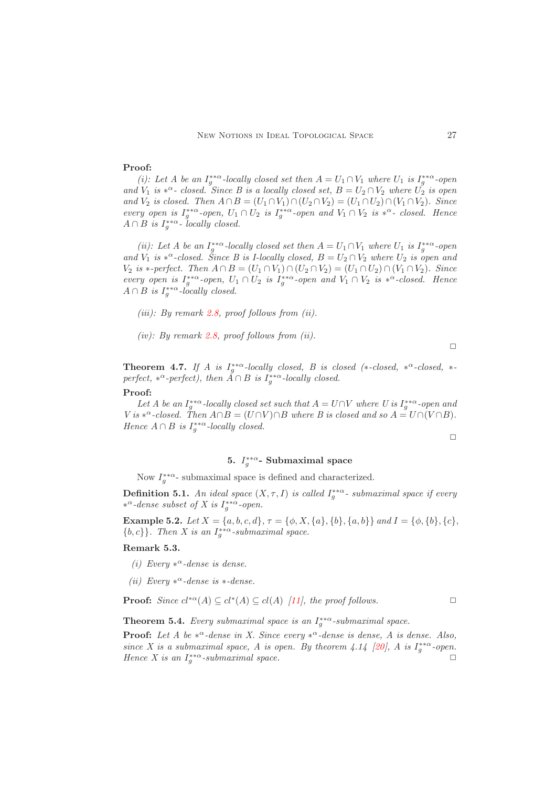### Proof:

(*i*): Let A be an  $I_g^{**\alpha}$ -locally closed set then  $A = U_1 \cap V_1$  where  $U_1$  is  $I_g^{**\alpha}$ -open *and*  $V_1$  *is*  $*^{\alpha}$ - *closed.* Since *B is a locally closed set,*  $B = U_2 \cap V_2$  *where*  $U_2$  *is open and*  $V_2$  *is closed. Then*  $A \cap B = (U_1 \cap V_1) \cap (U_2 \cap V_2) = (U_1 \cap U_2) \cap (V_1 \cap V_2)$ *. Since every open is*  $I_g^{**\alpha}$ -open,  $U_1 \cap U_2$  *is*  $I_g^{**\alpha}$ -open and  $V_1 \cap V_2$  *is*  $*^{\alpha}$ - *closed. Hence*  $A \cap B$  is  $I_g^{**\alpha}$ - locally closed.

(*ii*): Let A be an  $I_g^{**\alpha}$ -locally closed set then  $A = U_1 \cap V_1$  where  $U_1$  is  $I_g^{**\alpha}$ -open *and*  $V_1$  *is*  $*^{\alpha}$ -closed. Since B is I-locally closed,  $B = U_2 \cap V_2$  where  $U_2$  *is open and*  $V_2$  *is* ∗*-perfect. Then*  $A ∩ B = (U_1 ∩ V_1) ∩ (U_2 ∩ V_2) = (U_1 ∩ U_2) ∩ (V_1 ∩ V_2)$ *. Since every open is*  $I_g^{**\alpha}$ -open,  $U_1 \cap U_2$  *is*  $I_g^{**\alpha}$ -open and  $V_1 \cap V_2$  *is*  $*^{\alpha}$ -closed. Hence  $A \cap B$  is  $I_g^{**\alpha}$ -locally closed.

- *(iii): By remark [2.8,](#page-2-0) proof follows from (ii).*
- *(iv): By remark [2.8,](#page-2-0) proof follows from (ii).*

 $\Box$ 

**Theorem 4.7.** If A is  $I_g^{**\alpha}$ -locally closed, B is closed (\*-closed, \*<sup> $\alpha$ </sup>-closed, \*perfect,  $*^{\alpha}$ -perfect), then  $\check{A} \cap B$  *is*  $I_g^{**\alpha}$ -locally closed.

#### Proof:

Let A be an  $I_g^{**\alpha}$ -locally closed set such that  $A = U \cap V$  where U is  $I_g^{**\alpha}$ -open and *V* is  $*^{\alpha}$ -closed. Then  $A \cap B = (U \cap V) \cap B$  where B is closed and so  $A = U \cap (V \cap B)$ . *Hence*  $A \cap B$  *is*  $I_g^{** \alpha}$ -locally closed.

 $\Box$ 

# 5.  $I_g^{**\alpha}$ - Submaximal space

<span id="page-8-0"></span>Now  $I_g^{**\alpha}$ - submaximal space is defined and characterized.

**Definition 5.1.** An ideal space  $(X, \tau, I)$  is called  $I_g^{**\alpha}$ - submaximal space if every  $*^α$ -dense subset of *X* is  $I_g^{**α}$ -open.

Example 5.2. *Let* X = {a, b, c, d}*,* τ = {φ, X, {a}, {b}, {a, b}} *and* I = {φ, {b}, {c},  ${b, c}$ . Then X is an  $I_g^{**\alpha}$ -submaximal space.

#### Remark 5.3.

- *(i)* Every  $*^{\alpha}$ -dense is dense.
- *(ii) Every* ∗ <sup>α</sup>*-dense is* ∗*-dense.*

**Proof:** *Since*  $cl^*\alpha(A) \subseteq cl^*(A) \subseteq cl(A)$  [\[11\]](#page-12-6)*, the proof follows.* 

**Theorem 5.4.** *Every submaximal space is an*  $I_g^{**\alpha}$ -submaximal space.

**Proof:** Let A be  $*^{\alpha}$ -dense in X. Since every  $*^{\alpha}$ -dense is dense, A is dense. Also, *since X* is a submaximal space, *A* is open. By theorem 4.14 [\[20\]](#page-12-2), *A* is  $I_g^{**\alpha}$ -open. *Hence X is an*  $I_g^{**\alpha}$ -submaximal space.  $\Box$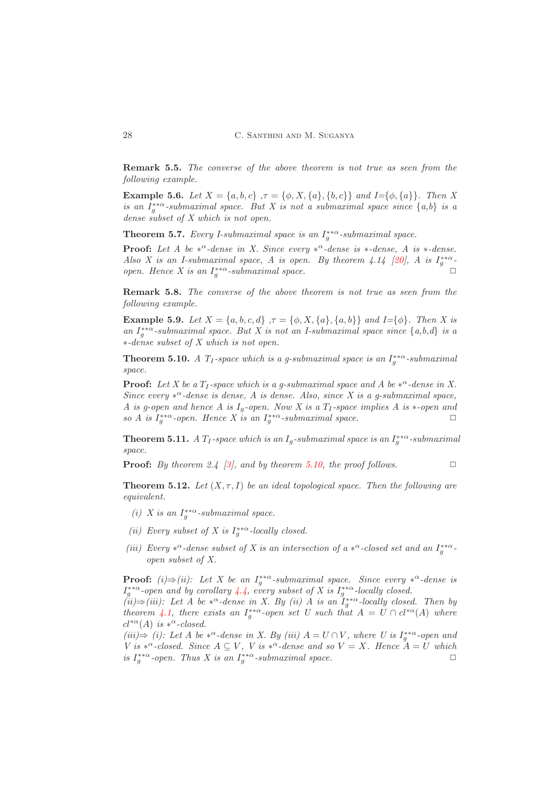Remark 5.5. *The converse of the above theorem is not true as seen from the following example.*

**Example 5.6.** *Let*  $X = \{a, b, c\}$ ,  $\tau = \{\phi, X, \{a\}, \{b, c\}\}$  *and*  $I = \{\phi, \{a\}\}$ *. Then* X *is an*  $I_g^{**\alpha}$ -submaximal space. But X is not a submaximal space since  $\{a,b\}$  *is a dense subset of X which is not open.*

**Theorem 5.7.** *Every I-submaximal space is an*  $I_g^{**\alpha}$ -submaximal space.

**Proof:** Let A be  $*^{\alpha}$ -dense in X. Since every  $*^{\alpha}$ -dense is  $*$ -dense, A is  $*$ -dense. *Also X is an I-submaximal space, A is open. By theorem 4.14 [\[20\]](#page-12-2), A is*  $I_g^{**\alpha}$ *open. Hence X is an*  $I_g^{**\alpha}$ -submaximal space.

Remark 5.8. *The converse of the above theorem is not true as seen from the following example.*

**Example 5.9.** *Let*  $X = \{a, b, c, d\}$ ,  $\tau = \{\phi, X, \{a\}, \{a, b\}\}$  *and*  $I = \{\phi\}$ *. Then* X is *an*  $I_g^{**\alpha}$ -submaximal space. But X is not an I-submaximal space since  $\{a,b,d\}$  *is a* ∗*-dense subset of X which is not open.*

<span id="page-9-0"></span>**Theorem 5.10.** *A*  $T_1$ -space which is a g-submaximal space is an  $I_g^{**\alpha}$ -submaximal *space.*

**Proof:** Let X be a  $T_I$ -space which is a g-submaximal space and A be  $*^{\alpha}$ -dense in X. *Since every*  $*^{\alpha}$ -dense is dense, A is dense. Also, since X is a g-submaximal space, *A* is g-open and hence *A* is  $I_q$ -open. Now *X* is a  $T_I$ -space implies *A* is  $*$ -open and  $so A$  is  $I_g^{**\alpha}$ -open. Hence X is an  $I_g^{**\alpha}$ -submaximal space.

**Theorem 5.11.** *A*  $T_I$ -space which is an  $I_g$ -submaximal space is an  $I_g^{**\alpha}$ -submaximal *space.*

**Proof:** *By theorem 2.4 [\[3\]](#page-11-6), and by theorem [5.10,](#page-9-0) the proof follows.* 

**Theorem 5.12.** *Let*  $(X, \tau, I)$  *be an ideal topological space. Then the following are equivalent.*

- (*i*) *X* is an  $I_g^{**\alpha}$ -submaximal space.
- (*ii*) Every subset of X is  $I_g^{**\alpha}$ -locally closed.
- (*iii*) Every  $*^{\alpha}$ -dense subset of X is an intersection of a  $*^{\alpha}$ -closed set and an  $I_g^{**\alpha}$ *open subset of X.*

**Proof:**  $(i) \Rightarrow (ii)$ : Let X be an  $I_g^{**\alpha}$ -submaximal space. Since every  $*^{\alpha}$ -dense is  $I_g^{**\alpha}$ -open and by corollary [4.4,](#page-7-0) every subset of X is  $I_g^{**\alpha}$ -locally closed.

 $(iii)$   $\Rightarrow$  *(iii):* Let A be  $*^{\alpha}$ -dense in X. By *(ii)* A is an  $\tilde{I}_g^{**\alpha}$ -locally closed. Then by *theorem* [4.1,](#page-5-1) there exists an  $I_g^{**\alpha}$ -open set U such that  $A = U \cap cl^{*\alpha}(A)$  where  $cl^{*\alpha}(A)$  *is*  $*^{\alpha}$ -closed.

 $(iii)$   $\Rightarrow$  *(i):* Let *A* be  $*^{\alpha}$ -dense in *X*. By *(iii) A* = *U* ∩ *V,* where *U* is  $I_g^{**\alpha}$ -open and *V* is  $*^{\alpha}$ -closed. Since  $A \subseteq V$ , *V* is  $*^{\alpha}$ -dense and so  $V = X$ . Hence  $A = U$  which *is*  $I_g^{**\alpha}$ -open. Thus X is an  $I_g^{**\alpha}$ -submaximal space.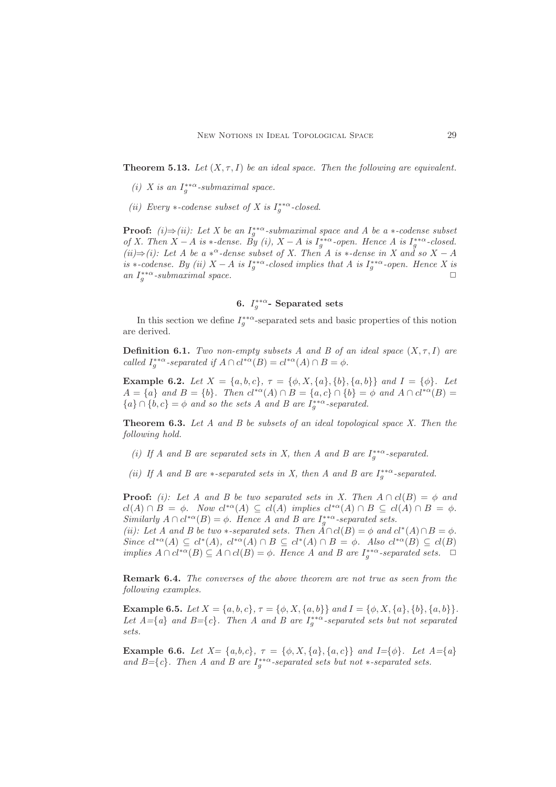**Theorem 5.13.** *Let*  $(X, \tau, I)$  *be an ideal space. Then the following are equivalent.* 

- (*i*) *X* is an  $I_g^{**\alpha}$ -submaximal space.
- (*ii*) Every  $\ast$ -codense subset of X is  $I_g^{**\alpha}$ -closed.

**Proof:**  $(i) \Rightarrow (ii)$ : Let X be an  $I_g^{**\alpha}$ -submaximal space and A be a  $*$ -codense subset *of X. Then*  $X - A$  *is*  $*$ -*dense.* By (*i*),  $X - A$  *is*  $I_g^{**\alpha}$ -*open.* Hence A *is*  $I_g^{**\alpha}$ -*closed. (ii)*⇒*(i):* Let A be a  $*^{\alpha}$ -dense subset of X. Then A is  $*$ -dense in X and so X − A *is* ∗*-codense. By (ii)*  $X - A$  *is*  $I_g^{**\alpha}$ -*closed implies that*  $A$  *is*  $I_g^{**\alpha}$ -*open. Hence*  $X$  *is* an  $I_g^{**\alpha}$ *a -submaximal space.*  $□$ 

# 6.  $I_g^{**\alpha}$ - Separated sets

<span id="page-10-0"></span>In this section we define  $I_g^{**\alpha}$ -separated sets and basic properties of this notion are derived.

**Definition 6.1.** *Two non-empty subsets A and B of an ideal space*  $(X, \tau, I)$  *are called*  $I_g^{**\alpha}$ -separated if  $A \cap cl^{*\alpha}(B) = cl^{*\alpha}(A) \cap B = \phi$ .

Example 6.2. *Let*  $X = \{a, b, c\}$ ,  $\tau = \{\phi, X, \{a\}, \{b\}, \{a, b\}\}$  *and*  $I = \{\phi\}$ *. Let*  $A = \{a\}$  and  $B = \{b\}$ . Then  $cl^{*\alpha}(A) \cap B = \{a, c\} \cap \{b\} = \emptyset$  and  $A \cap cl^{*\alpha}(B) =$  ${a} \cap {b, c} = \phi$  *and so the sets A and B are*  $I_g^{**\alpha}$ -separated.

Theorem 6.3. *Let A and B be subsets of an ideal topological space X. Then the following hold.*

- (*i)* If A and B are separated sets in X, then A and B are  $I_g^{**\alpha}$ -separated.
- (*ii*) If A and B are  $*$ -separated sets in X, then A and B are  $I_g^{**\alpha}$ -separated.

**Proof:** *(i): Let A and B be two separated sets in X. Then*  $A \cap cl(B) = \phi$  *and*  $cl(A) \cap B = \phi$ *.* Now  $cl^{*\alpha}(A) \subseteq cl(A)$  implies  $cl^{*\alpha}(A) \cap B \subseteq cl(A) \cap B = \phi$ . *Similarly*  $A \cap cl^{*\alpha}(B) = \phi$ *. Hence A and B are*  $I_g^{**\alpha}$ -separated sets.

*(ii):* Let A and B be two  $*$ -separated sets. Then  $\overline{A} \cap cl(B) = \phi$  and  $cl^*(A) \cap B = \phi$ . *Since*  $cl^*\alpha(A) \subseteq cl^*(A)$ ,  $cl^*\alpha(A) \cap B \subseteq cl^*(A) \cap B = \phi$ . Also  $cl^*\alpha(B) \subseteq cl(B)$ *implies*  $A \cap cl^{*\alpha}(B) \subseteq A \cap cl(B) = \emptyset$ . Hence A and B are  $I_g^{**\alpha}$ -separated sets.  $\Box$ 

Remark 6.4. *The converses of the above theorem are not true as seen from the following examples.*

**Example 6.5.** *Let*  $X = \{a, b, c\}$ ,  $\tau = \{\phi, X, \{a, b\}\}$  *and*  $I = \{\phi, X, \{a\}, \{b\}, \{a, b\}\}.$ Let  $A = \{a\}$  and  $B = \{c\}$ . Then A and B are  $I_g^{**\alpha}$ -separated sets but not separated *sets.*

Example 6.6. Let  $X = \{a,b,c\}$ ,  $\tau = \{\phi, X, \{a\}, \{a,c\}\}\$  and  $I = \{\phi\}$ . Let  $A = \{a\}$ and  $B = \{c\}$ . Then A and B are  $I_g^{**\alpha}$ -separated sets but not  $*$ -separated sets.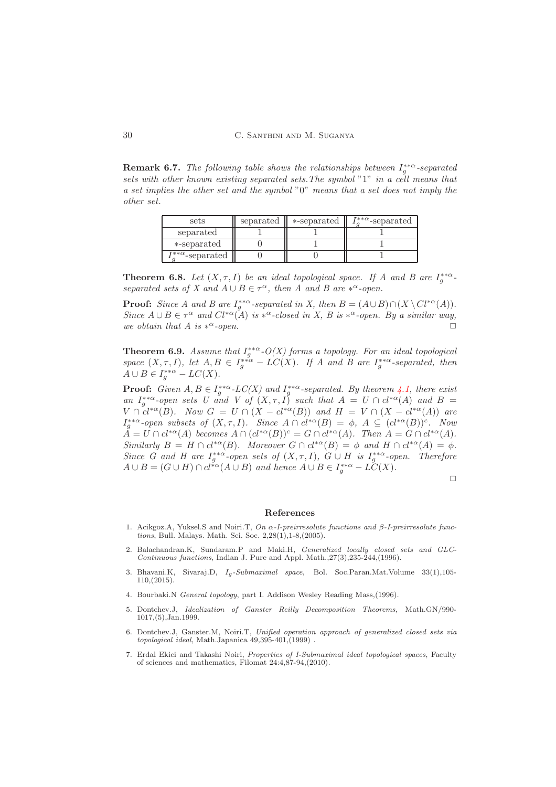Remark 6.7. *The following table shows the relationships between*  $I_g^{**α}$ -separated *sets with other known existing separated sets.The symbol* "1" *in a cell means that a set implies the other set and the symbol* "0" *means that a set does not imply the other set.*

| sets                               | separated | *-separated | $I_{\alpha}^{**\alpha}$ -separated |
|------------------------------------|-----------|-------------|------------------------------------|
| separated                          |           |             |                                    |
| *-separated                        |           |             |                                    |
| $I_{\alpha}^{**\alpha}$ -separated |           |             |                                    |

**Theorem 6.8.** Let  $(X, \tau, I)$  be an ideal topological space. If A and B are  $I_g^{**\alpha}$ . *separated sets of* X and  $A \cup B \in \tau^{\alpha}$ , then A and B are  $*^{\alpha}$ -open.

**Proof:** *Since A and B are*  $I_g^{**\alpha}$ -separated in X, then  $B = (A \cup B) \cap (X \setminus Cl^{*\alpha}(A))$ . *Since*  $A \cup B \in \tau^{\alpha}$  and  $Cl^{*\alpha}(A)$  *is*  $*^{\alpha}$ -closed in X, B is  $*^{\alpha}$ -open. By a similar way, *we obtain that A is*  $*^{\alpha}$ -open.  $\alpha$ -open.  $\Box$ 

<span id="page-11-1"></span>**Theorem 6.9.** *Assume that*  $I_g^{**\alpha}$ - $O(X)$  forms a topology. For an ideal topological space  $(X, \tau, I)$ , let  $A, B \in I_{g}^{**\alpha} - LC(X)$ . If A and B are  $I_{g}^{**\alpha}$ -separated, then  $A \cup B \in I_g^{**\alpha} - LC(X).$ 

**Proof:** Given  $A, B \in I_g^{**a}$ -LC(X) and  $I_g^{**a}$ -separated. By theorem [4.1,](#page-5-1) there exist *an*  $I_g^{**a}$ -open sets U and V of  $(X, \tau, I)$  *such that*  $A = U \cap cl^{*\alpha}(A)$  *and*  $B =$  $V \cap cl^{*\alpha}(B)$ *.* Now  $G = U \cap (X - cl^{*\alpha}(B))$  and  $H = V \cap (X - cl^{*\alpha}(A))$  are  $I_g^{**\alpha}$ -open subsets of  $(X, \tau, I)$ *.* Since  $A \cap cl^{*\alpha}(B) = \emptyset$ ,  $A \subseteq (cl^{*\alpha}(B))^c$ *.* Now  $A = U \cap cl^{*\alpha}(A)$  *becomes*  $A \cap (cl^{*\alpha}(B))^c = G \cap cl^{*\alpha}(A)$ *. Then*  $A = G \cap cl^{*\alpha}(A)$ *. Similarly*  $B = H \cap cl^{*\alpha}(B)$ *. Moreover*  $G \cap cl^{*\alpha}(B) = \phi$  *and*  $H \cap cl^{*\alpha}(A) = \phi$ *. Since G and H are*  $I_g^{**\alpha}$ -open sets of  $(X, \tau, I)$ ,  $G \cup H$  is  $I_g^{**\alpha}$ -open. Therefore  $A \cup B = (G \cup H) \cap cl^{*\alpha}(A \cup B)$  and hence  $A \cup B \in I_g^{**\alpha} - L\check{C}(X)$ .

 $\Box$ 

#### <span id="page-11-0"></span>References

- <span id="page-11-5"></span>1. Acikgoz.A, Yuksel.S and Noiri.T, *On* α*-I-preirresolute functions and* β*-I-preirresolute functions*, Bull. Malays. Math. Sci. Soc. 2,28(1),1-8,(2005).
- <span id="page-11-3"></span>2. Balachandran.K, Sundaram.P and Maki.H, *Generalized locally closed sets and GLC-Continuous functions*, Indian J. Pure and Appl. Math.,27(3),235-244,(1996).
- <span id="page-11-6"></span>3. Bhavani.K, Sivaraj.D, Ig*-Submaximal space*, Bol. Soc.Paran.Mat.Volume 33(1),105- 110,(2015).
- <span id="page-11-4"></span><span id="page-11-2"></span>4. Bourbaki.N *General topology*, part I. Addison Wesley Reading Mass,(1996).
- 5. Dontchev.J, *Idealization of Ganster Reilly Decomposition Theorems*, Math.GN/990- 1017,(5),Jan.1999.
- <span id="page-11-7"></span>6. Dontchev.J, Ganster.M, Noiri.T, *Unified operation approach of generalized closed sets via topological ideal*, Math.Japanica 49,395-401,(1999) .
- <span id="page-11-8"></span>7. Erdal Ekici and Takashi Noiri, *Properties of I-Submaximal ideal topological spaces*, Faculty of sciences and mathematics, Filomat 24:4,87-94,(2010).